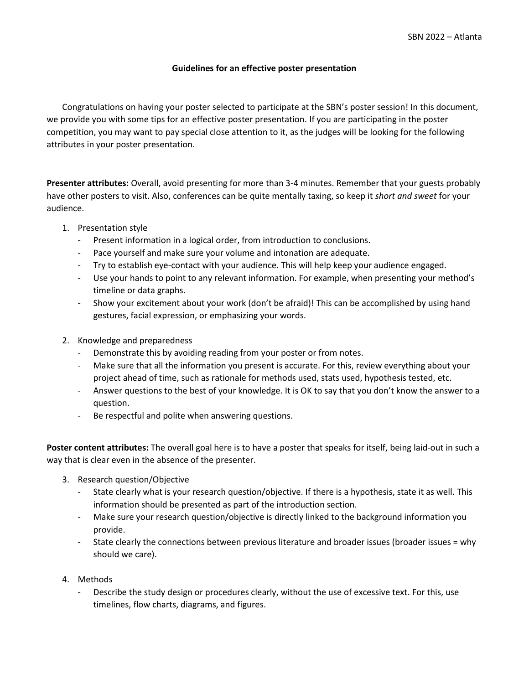## **Guidelines for an effective poster presentation**

Congratulations on having your poster selected to participate at the SBN's poster session! In this document, we provide you with some tips for an effective poster presentation. If you are participating in the poster competition, you may want to pay special close attention to it, as the judges will be looking for the following attributes in your poster presentation.

**Presenter attributes:** Overall, avoid presenting for more than 3-4 minutes. Remember that your guests probably have other posters to visit. Also, conferences can be quite mentally taxing, so keep it *short and sweet* for your audience.

- 1. Presentation style
	- Present information in a logical order, from introduction to conclusions.
	- Pace yourself and make sure your volume and intonation are adequate.
	- Try to establish eye-contact with your audience. This will help keep your audience engaged.
	- Use your hands to point to any relevant information. For example, when presenting your method's timeline or data graphs.
	- Show your excitement about your work (don't be afraid)! This can be accomplished by using hand gestures, facial expression, or emphasizing your words.
- 2. Knowledge and preparedness
	- Demonstrate this by avoiding reading from your poster or from notes.
	- Make sure that all the information you present is accurate. For this, review everything about your project ahead of time, such as rationale for methods used, stats used, hypothesis tested, etc.
	- Answer questions to the best of your knowledge. It is OK to say that you don't know the answer to a question.
	- Be respectful and polite when answering questions.

**Poster content attributes:** The overall goal here is to have a poster that speaks for itself, being laid-out in such a way that is clear even in the absence of the presenter.

- 3. Research question/Objective
	- State clearly what is your research question/objective. If there is a hypothesis, state it as well. This information should be presented as part of the introduction section.
	- Make sure your research question/objective is directly linked to the background information you provide.
	- State clearly the connections between previous literature and broader issues (broader issues = why should we care).
- 4. Methods
	- Describe the study design or procedures clearly, without the use of excessive text. For this, use timelines, flow charts, diagrams, and figures.